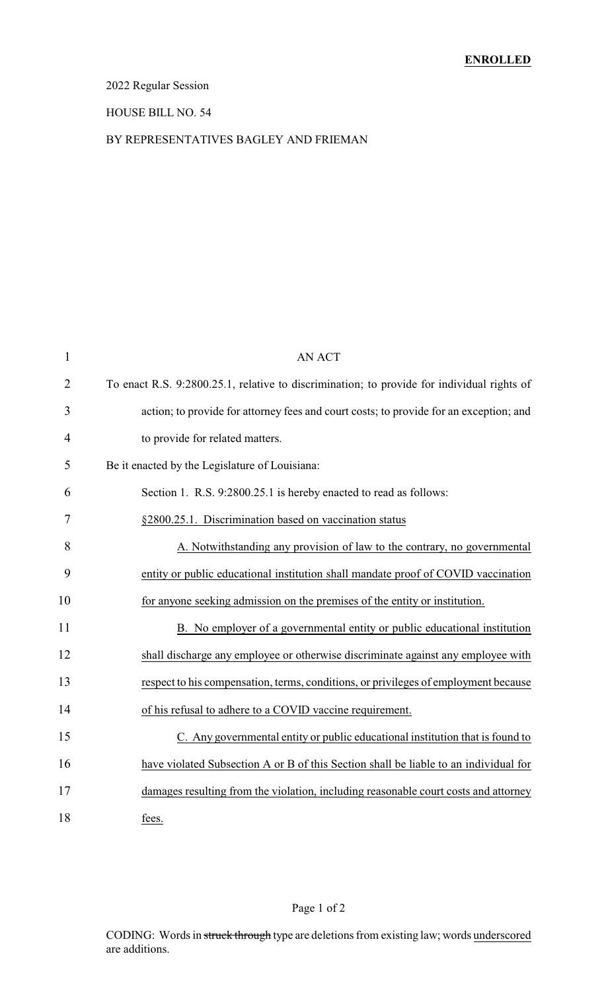### 2022 Regular Session

#### HOUSE BILL NO. 54

#### BY REPRESENTATIVES BAGLEY AND FRIEMAN

| 1              | <b>AN ACT</b>                                                                              |
|----------------|--------------------------------------------------------------------------------------------|
| $\overline{2}$ | To enact R.S. 9:2800.25.1, relative to discrimination; to provide for individual rights of |
| 3              | action; to provide for attorney fees and court costs; to provide for an exception; and     |
| 4              | to provide for related matters.                                                            |
| 5              | Be it enacted by the Legislature of Louisiana:                                             |
| 6              | Section 1. R.S. 9:2800.25.1 is hereby enacted to read as follows:                          |
| 7              | §2800.25.1. Discrimination based on vaccination status                                     |
| 8              | A. Notwithstanding any provision of law to the contrary, no governmental                   |
| 9              | entity or public educational institution shall mandate proof of COVID vaccination          |
| 10             | for anyone seeking admission on the premises of the entity or institution.                 |
| 11             | B. No employer of a governmental entity or public educational institution                  |
| 12             | shall discharge any employee or otherwise discriminate against any employee with           |
| 13             | respect to his compensation, terms, conditions, or privileges of employment because        |
| 14             | of his refusal to adhere to a COVID vaccine requirement.                                   |
| 15             | C. Any governmental entity or public educational institution that is found to              |
| 16             | have violated Subsection A or B of this Section shall be liable to an individual for       |
| 17             | damages resulting from the violation, including reasonable court costs and attorney        |
| 18             | fees.                                                                                      |

### Page 1 of 2

CODING: Words in struck through type are deletions from existing law; words underscored are additions.